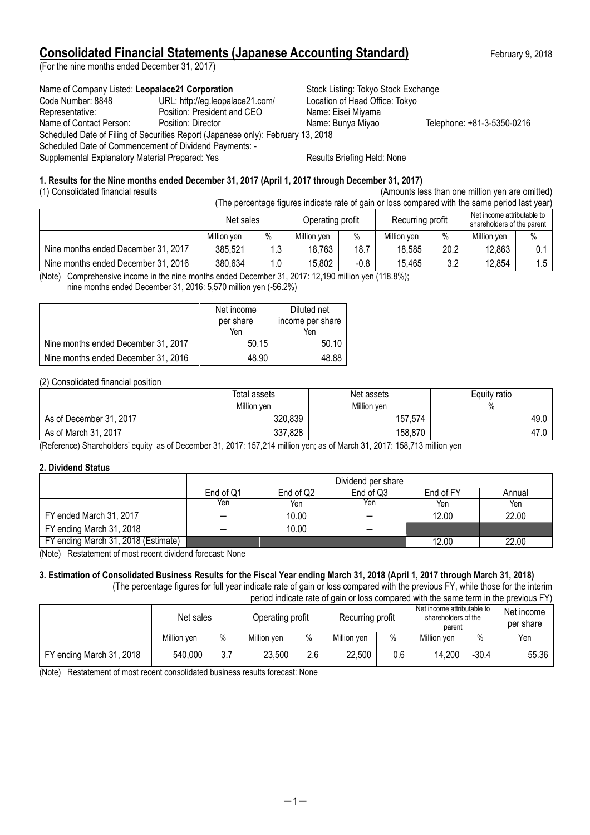# **Consolidated Financial Statements (Japanese Accounting Standard)** February 9, 2018

(For the nine months ended December 31, 2017)

Name of Company Listed: Leopalace21 Corporation **Stock Listing: Tokyo Stock Exchange** Code Number: 8848 URL: http://eg.leopalace21.com/ Location of Head Office: Tokyo Representative: Position: President and CEO Name: Eisei Miyama Name of Contact Person: Position: Director Name: Bunya Miyao Telephone: +81-3-5350-0216 Scheduled Date of Filing of Securities Report (Japanese only): February 13, 2018 Scheduled Date of Commencement of Dividend Payments: - Supplemental Explanatory Material Prepared: Yes Results Briefing Held: None

### **1. Results for the Nine months ended December 31, 2017 (April 1, 2017 through December 31, 2017)**

(1) Consolidated financial results (Amounts less than one million yen are omitted)

| (The percentage figures indicate rate of gain or loss compared with the same period last year) |             |      |                  |        |                  |      |                                                          |       |
|------------------------------------------------------------------------------------------------|-------------|------|------------------|--------|------------------|------|----------------------------------------------------------|-------|
|                                                                                                | Net sales   |      | Operating profit |        | Recurring profit |      | Net income attributable to<br>shareholders of the parent |       |
|                                                                                                | Million yen | $\%$ | Million yen      | $\%$   | Million ven      | $\%$ | Million yen                                              | $\%$  |
| Nine months ended December 31, 2017                                                            | 385,521     | 1.3  | 18,763           | 18.7   | 18,585           | 20.2 | 12,863                                                   | $0.1$ |
| Nine months ended December 31, 2016                                                            | 380,634     | 1.0  | 15,802           | $-0.8$ | 15.465           | 3.2  | 12,854                                                   | 1.5   |

(Note) Comprehensive income in the nine months ended December 31, 2017: 12,190 million yen (118.8%);

nine months ended December 31, 2016: 5,570 million yen (-56.2%)

|                                     | Net income | Diluted net      |
|-------------------------------------|------------|------------------|
|                                     | per share  | income per share |
|                                     | Yen        | Yen              |
| Nine months ended December 31, 2017 | 50.15      | 50.10            |
| Nine months ended December 31, 2016 | 48.90      | 48.88            |

(2) Consolidated financial position

|                         | Total assets | Net assets  | Equity ratio |
|-------------------------|--------------|-------------|--------------|
|                         | Million yen  | Million yen | %            |
| As of December 31, 2017 | 320,839      | 157,574     | 49.0         |
| As of March 31, 2017    | 337,828      | 158,870     | 47.0         |

(Reference) Shareholders' equity as of December 31, 2017: 157,214 million yen; as of March 31, 2017: 158,713 million yen

#### **2. Dividend Status**

|                                     | Dividend per share |                                               |     |       |       |  |  |
|-------------------------------------|--------------------|-----------------------------------------------|-----|-------|-------|--|--|
|                                     | End of Q1          | End of Q2<br>End of Q3<br>End of FY<br>Annual |     |       |       |  |  |
|                                     | Yen                | Yen                                           | Yen | Yen   | Yen   |  |  |
| FY ended March 31, 2017             |                    | 10.00                                         |     | 12.00 | 22.00 |  |  |
| FY ending March 31, 2018            |                    | 10.00                                         | _   |       |       |  |  |
| FY ending March 31, 2018 (Estimate) | .                  |                                               |     | 12.00 | 22.00 |  |  |

(Note) Restatement of most recent dividend forecast: None

#### **3. Estimation of Consolidated Business Results for the Fiscal Year ending March 31, 2018 (April 1, 2017 through March 31, 2018)** (The percentage figures for full year indicate rate of gain or loss compared with the previous FY, while those for the interim

period indicate rate of gain or loss compared with the same term in the previous FY)

|                          | Net sales   |      | Operating profit |      | Recurring profit |      | Net income attributable to<br>shareholders of the<br>parent |         | Net income<br>per share |
|--------------------------|-------------|------|------------------|------|------------------|------|-------------------------------------------------------------|---------|-------------------------|
|                          | Million ven | $\%$ | Million ven      | $\%$ | Million ven      | $\%$ | Million yen                                                 | $\%$    | Yen                     |
| FY ending March 31, 2018 | 540,000     | 3.7  | 23,500           | 2.6  | 22,500           | 0.6  | 14,200                                                      | $-30.4$ | 55.36                   |

(Note) Restatement of most recent consolidated business results forecast: None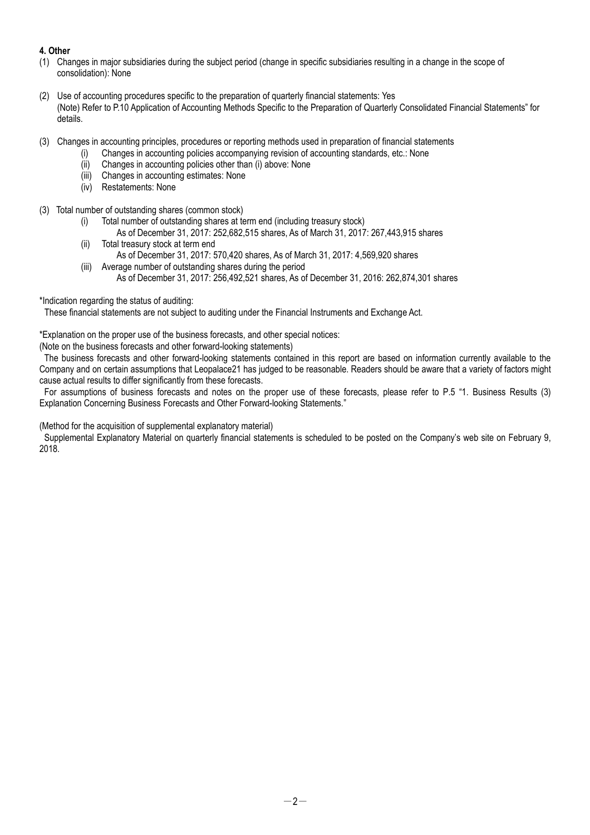# **4. Other**

- (1) Changes in major subsidiaries during the subject period (change in specific subsidiaries resulting in a change in the scope of consolidation): None
- (2) Use of accounting procedures specific to the preparation of quarterly financial statements: Yes (Note) Refer to P.10 Application of Accounting Methods Specific to the Preparation of Quarterly Consolidated Financial Statements" for details.
- (3) Changes in accounting principles, procedures or reporting methods used in preparation of financial statements
	- (i) Changes in accounting policies accompanying revision of accounting standards, etc.: None
		- (ii) Changes in accounting policies other than (i) above: None
		- (iii) Changes in accounting estimates: None
		- (iv) Restatements: None
- (3) Total number of outstanding shares (common stock)
	- (i) Total number of outstanding shares at term end (including treasury stock)
		- As of December 31, 2017: 252,682,515 shares, As of March 31, 2017: 267,443,915 shares
	- (ii) Total treasury stock at term end As of December 31, 2017: 570,420 shares, As of March 31, 2017: 4,569,920 shares
	- (iii) Average number of outstanding shares during the period As of December 31, 2017: 256,492,521 shares, As of December 31, 2016: 262,874,301 shares

#### \*Indication regarding the status of auditing:

These financial statements are not subject to auditing under the Financial Instruments and Exchange Act.

\*Explanation on the proper use of the business forecasts, and other special notices:

(Note on the business forecasts and other forward-looking statements)

The business forecasts and other forward-looking statements contained in this report are based on information currently available to the Company and on certain assumptions that Leopalace21 has judged to be reasonable. Readers should be aware that a variety of factors might cause actual results to differ significantly from these forecasts.

For assumptions of business forecasts and notes on the proper use of these forecasts, please refer to P.5 "1. Business Results (3) Explanation Concerning Business Forecasts and Other Forward-looking Statements."

(Method for the acquisition of supplemental explanatory material)

Supplemental Explanatory Material on quarterly financial statements is scheduled to be posted on the Company's web site on February 9, 2018.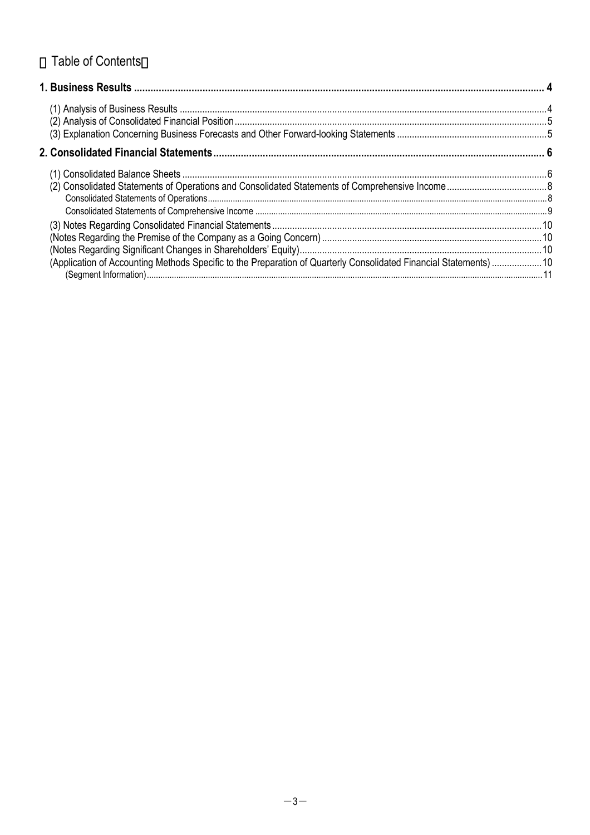# **Table of Contents**

| (Application of Accounting Methods Specific to the Preparation of Quarterly Consolidated Financial Statements)  10 |  |
|--------------------------------------------------------------------------------------------------------------------|--|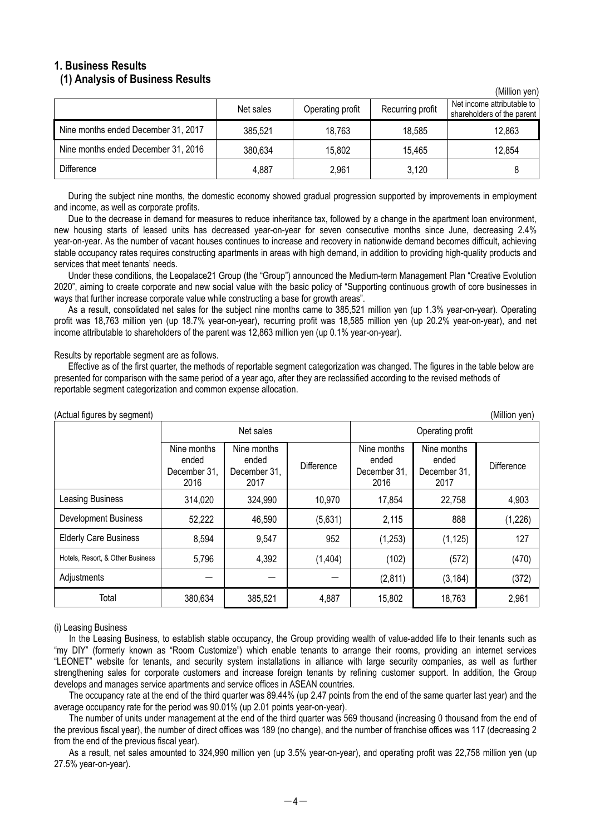## **1. Business Results (1) Analysis of Business Results**

|                                     | Net sales | Operating profit | Recurring profit | <u>(IVIIIIUII VUII)</u><br>Net income attributable to<br>shareholders of the parent |
|-------------------------------------|-----------|------------------|------------------|-------------------------------------------------------------------------------------|
| Nine months ended December 31, 2017 | 385,521   | 18,763           | 18,585           | 12,863                                                                              |
| Nine months ended December 31, 2016 | 380,634   | 15,802           | 15.465           | 12,854                                                                              |
| <b>Difference</b>                   | 4,887     | 2,961            | 3,120            |                                                                                     |

 $(Million$  yon)

During the subject nine months, the domestic economy showed gradual progression supported by improvements in employment and income, as well as corporate profits.

Due to the decrease in demand for measures to reduce inheritance tax, followed by a change in the apartment loan environment, new housing starts of leased units has decreased year-on-year for seven consecutive months since June, decreasing 2.4% year-on-year. As the number of vacant houses continues to increase and recovery in nationwide demand becomes difficult, achieving stable occupancy rates requires constructing apartments in areas with high demand, in addition to providing high-quality products and services that meet tenants' needs.

Under these conditions, the Leopalace21 Group (the "Group") announced the Medium-term Management Plan "Creative Evolution 2020", aiming to create corporate and new social value with the basic policy of "Supporting continuous growth of core businesses in ways that further increase corporate value while constructing a base for growth areas".

As a result, consolidated net sales for the subject nine months came to 385,521 million yen (up 1.3% year-on-year). Operating profit was 18,763 million yen (up 18.7% year-on-year), recurring profit was 18,585 million yen (up 20.2% year-on-year), and net income attributable to shareholders of the parent was 12,863 million yen (up 0.1% year-on-year).

Results by reportable segment are as follows.

Effective as of the first quarter, the methods of reportable segment categorization was changed. The figures in the table below are presented for comparison with the same period of a year ago, after they are reclassified according to the revised methods of reportable segment categorization and common expense allocation.

| (Actual figures by segment)      |                                              |                                              |            |                                              |                                              | (Million yen) |
|----------------------------------|----------------------------------------------|----------------------------------------------|------------|----------------------------------------------|----------------------------------------------|---------------|
|                                  | Net sales                                    |                                              |            | Operating profit                             |                                              |               |
|                                  | Nine months<br>ended<br>December 31,<br>2016 | Nine months<br>ended<br>December 31,<br>2017 | Difference | Nine months<br>ended<br>December 31,<br>2016 | Nine months<br>ended<br>December 31,<br>2017 | Difference    |
| Leasing Business                 | 314,020                                      | 324,990                                      | 10,970     | 17,854                                       | 22,758                                       | 4,903         |
| <b>Development Business</b>      | 52,222                                       | 46,590                                       | (5,631)    | 2,115                                        | 888                                          | (1,226)       |
| <b>Elderly Care Business</b>     | 8,594                                        | 9,547                                        | 952        | (1,253)                                      | (1, 125)                                     | 127           |
| Hotels, Resort, & Other Business | 5,796                                        | 4,392                                        | (1,404)    | (102)                                        | (572)                                        | (470)         |
| Adjustments                      |                                              |                                              |            | (2,811)                                      | (3, 184)                                     | (372)         |
| Total                            | 380,634                                      | 385,521                                      | 4,887      | 15,802                                       | 18,763                                       | 2,961         |

#### (i) Leasing Business

In the Leasing Business, to establish stable occupancy, the Group providing wealth of value-added life to their tenants such as "my DIY" (formerly known as "Room Customize") which enable tenants to arrange their rooms, providing an internet services "LEONET" website for tenants, and security system installations in alliance with large security companies, as well as further strengthening sales for corporate customers and increase foreign tenants by refining customer support. In addition, the Group develops and manages service apartments and service offices in ASEAN countries.

The occupancy rate at the end of the third quarter was 89.44% (up 2.47 points from the end of the same quarter last year) and the average occupancy rate for the period was 90.01% (up 2.01 points year-on-year).

The number of units under management at the end of the third quarter was 569 thousand (increasing 0 thousand from the end of the previous fiscal year), the number of direct offices was 189 (no change), and the number of franchise offices was 117 (decreasing 2 from the end of the previous fiscal year).

As a result, net sales amounted to 324,990 million yen (up 3.5% year-on-year), and operating profit was 22,758 million yen (up 27.5% year-on-year).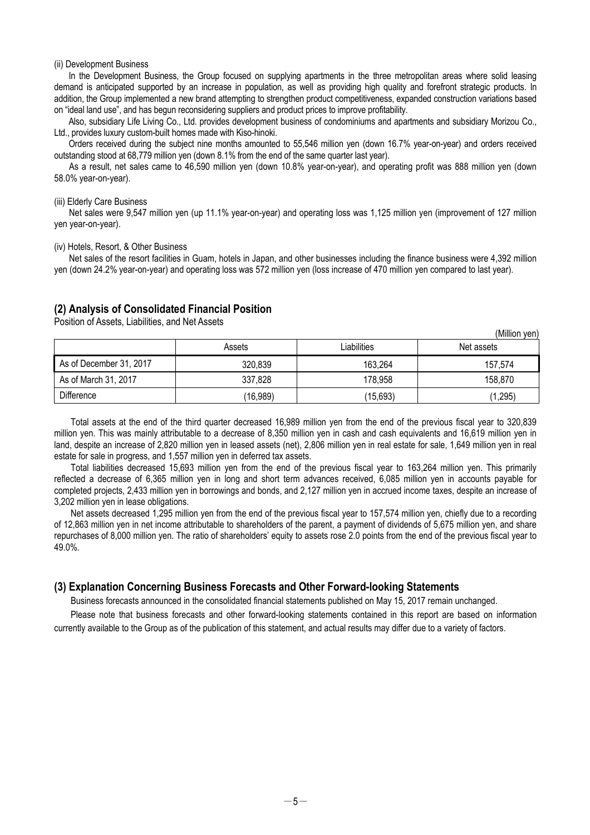#### (ii) Development Business

In the Development Business, the Group focused on supplying apartments in the three metropolitan areas where solid leasing demand is anticipated supported by an increase in population, as well as providing high quality and forefront strategic products. In addition, the Group implemented a new brand attempting to strengthen product competitiveness, expanded construction variations based on "ideal land use", and has begun reconsidering suppliers and product prices to improve profitability.

Also, subsidiary Life Living Co., Ltd. provides development business of condominiums and apartments and subsidiary Morizou Co., Ltd., provides luxury custom-built homes made with Kiso-hinoki.

Orders received during the subject nine months amounted to 55,546 million yen (down 16.7% year-on-year) and orders received outstanding stood at 68,779 million yen (down 8.1% from the end of the same quarter last year).

As a result, net sales came to 46,590 million yen (down 10.8% year-on-year), and operating profit was 888 million yen (down 58.0% year-on-year).

#### (iii) Elderly Care Business

Net sales were 9,547 million yen (up 11.1% year-on-year) and operating loss was 1,125 million yen (improvement of 127 million yen year-on-year).

#### (iv) Hotels, Resort, & Other Business

Net sales of the resort facilities in Guam, hotels in Japan, and other businesses including the finance business were 4,392 million yen (down 24.2% year-on-year) and operating loss was 572 million yen (loss increase of 470 million yen compared to last year).

# **(2) Analysis of Consolidated Financial Position**

Position of Assets, Liabilities, and Net Assets

|                         | Assets   | Liabilities | Net assets |
|-------------------------|----------|-------------|------------|
| As of December 31, 2017 | 320,839  | 163,264     | 157,574    |
| As of March 31, 2017    | 337,828  | 178,958     | 158,870    |
| Difference              | (16,989) | (15,693)    | (1, 295)   |

(Million yen)

Total assets at the end of the third quarter decreased 16,989 million yen from the end of the previous fiscal year to 320,839 million yen. This was mainly attributable to a decrease of 8,350 million yen in cash and cash equivalents and 16,619 million yen in land, despite an increase of 2,820 million yen in leased assets (net), 2,806 million yen in real estate for sale, 1,649 million yen in real estate for sale in progress, and 1,557 million yen in deferred tax assets.

Total liabilities decreased 15,693 million yen from the end of the previous fiscal year to 163,264 million yen. This primarily reflected a decrease of 6,365 million yen in long and short term advances received, 6,085 million yen in accounts payable for completed projects, 2,433 million yen in borrowings and bonds, and 2,127 million yen in accrued income taxes, despite an increase of 3,202 million yen in lease obligations.

Net assets decreased 1,295 million yen from the end of the previous fiscal year to 157,574 million yen, chiefly due to a recording of 12,863 million yen in net income attributable to shareholders of the parent, a payment of dividends of 5,675 million yen, and share repurchases of 8,000 million yen. The ratio of shareholders' equity to assets rose 2.0 points from the end of the previous fiscal year to 49.0%.

#### **(3) Explanation Concerning Business Forecasts and Other Forward-looking Statements**

Business forecasts announced in the consolidated financial statements published on May 15, 2017 remain unchanged.

Please note that business forecasts and other forward-looking statements contained in this report are based on information currently available to the Group as of the publication of this statement, and actual results may differ due to a variety of factors.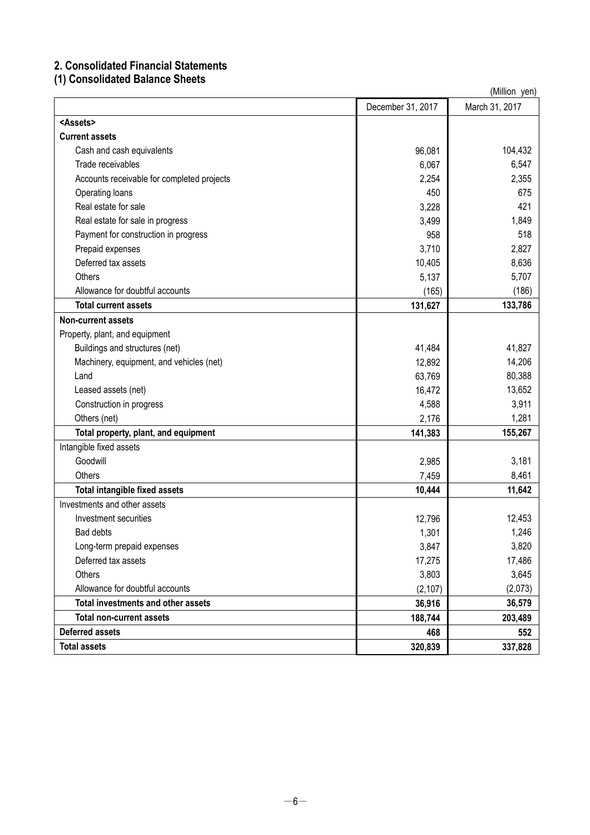# **2. Consolidated Financial Statements**

**(1) Consolidated Balance Sheets**

| (Million yen)                              |                   |                |  |
|--------------------------------------------|-------------------|----------------|--|
|                                            | December 31, 2017 | March 31, 2017 |  |
| <assets></assets>                          |                   |                |  |
| <b>Current assets</b>                      |                   |                |  |
| Cash and cash equivalents                  | 96,081            | 104,432        |  |
| Trade receivables                          | 6,067             | 6,547          |  |
| Accounts receivable for completed projects | 2,254             | 2,355          |  |
| Operating loans                            | 450               | 675            |  |
| Real estate for sale                       | 3,228             | 421            |  |
| Real estate for sale in progress           | 3,499             | 1,849          |  |
| Payment for construction in progress       | 958               | 518            |  |
| Prepaid expenses                           | 3,710             | 2,827          |  |
| Deferred tax assets                        | 10,405            | 8,636          |  |
| Others                                     | 5,137             | 5,707          |  |
| Allowance for doubtful accounts            | (165)             | (186)          |  |
| <b>Total current assets</b>                | 131,627           | 133,786        |  |
| Non-current assets                         |                   |                |  |
| Property, plant, and equipment             |                   |                |  |
| Buildings and structures (net)             | 41,484            | 41,827         |  |
| Machinery, equipment, and vehicles (net)   | 12,892            | 14,206         |  |
| Land                                       | 63,769            | 80,388         |  |
| Leased assets (net)                        | 16,472            | 13,652         |  |
| Construction in progress                   | 4,588             | 3,911          |  |
| Others (net)                               | 2,176             | 1,281          |  |
| Total property, plant, and equipment       | 141,383           | 155,267        |  |
| Intangible fixed assets                    |                   |                |  |
| Goodwill                                   | 2,985             | 3,181          |  |
| Others                                     | 7,459             | 8,461          |  |
| <b>Total intangible fixed assets</b>       | 10,444            | 11,642         |  |
| Investments and other assets               |                   |                |  |
| Investment securities                      | 12,796            | 12,453         |  |
| Bad debts                                  | 1,301             | 1,246          |  |
| Long-term prepaid expenses                 | 3,847             | 3,820          |  |
| Deferred tax assets                        | 17,275            | 17,486         |  |
| Others                                     | 3,803             | 3,645          |  |
| Allowance for doubtful accounts            | (2, 107)          | (2,073)        |  |
| Total investments and other assets         | 36,916            | 36,579         |  |
| <b>Total non-current assets</b>            | 188,744           | 203,489        |  |
| <b>Deferred assets</b>                     | 468               | 552            |  |
| <b>Total assets</b>                        | 320,839           | 337,828        |  |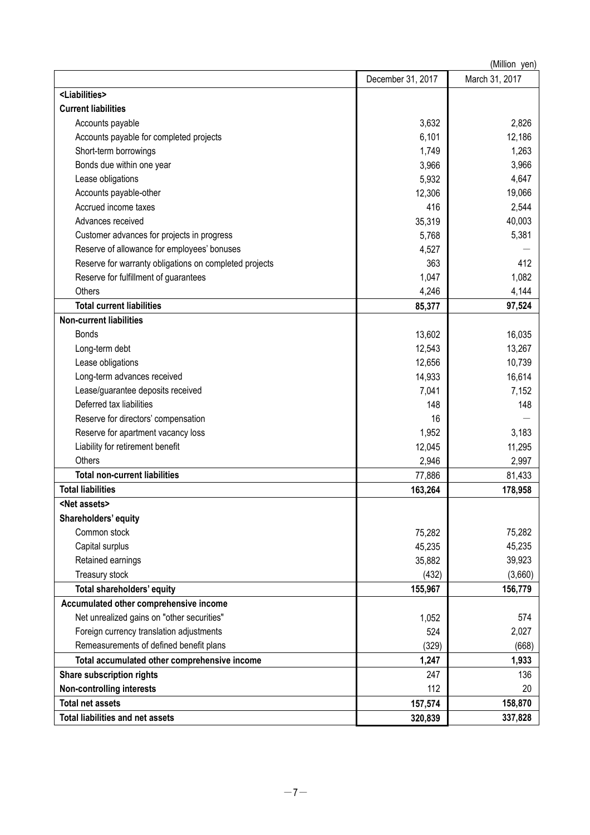| (Million yen)                                          |                   |                |  |
|--------------------------------------------------------|-------------------|----------------|--|
|                                                        | December 31, 2017 | March 31, 2017 |  |
| <liabilities></liabilities>                            |                   |                |  |
| <b>Current liabilities</b>                             |                   |                |  |
| Accounts payable                                       | 3,632             | 2,826          |  |
| Accounts payable for completed projects                | 6,101             | 12,186         |  |
| Short-term borrowings                                  | 1,749             | 1,263          |  |
| Bonds due within one year                              | 3,966             | 3,966          |  |
| Lease obligations                                      | 5,932             | 4,647          |  |
| Accounts payable-other                                 | 12,306            | 19,066         |  |
| Accrued income taxes                                   | 416               | 2,544          |  |
| Advances received                                      | 35,319            | 40,003         |  |
| Customer advances for projects in progress             | 5,768             | 5,381          |  |
| Reserve of allowance for employees' bonuses            | 4,527             |                |  |
| Reserve for warranty obligations on completed projects | 363               | 412            |  |
| Reserve for fulfillment of guarantees                  | 1,047             | 1,082          |  |
| Others                                                 | 4,246             | 4,144          |  |
| <b>Total current liabilities</b>                       | 85,377            | 97,524         |  |
| <b>Non-current liabilities</b>                         |                   |                |  |
| <b>Bonds</b>                                           | 13,602            | 16,035         |  |
| Long-term debt                                         | 12,543            | 13,267         |  |
| Lease obligations                                      | 12,656            | 10,739         |  |
| Long-term advances received                            | 14,933            | 16,614         |  |
| Lease/guarantee deposits received                      | 7,041             | 7,152          |  |
| Deferred tax liabilities                               | 148               | 148            |  |
| Reserve for directors' compensation                    | 16                |                |  |
| Reserve for apartment vacancy loss                     | 1,952             | 3,183          |  |
| Liability for retirement benefit                       | 12,045            | 11,295         |  |
| Others                                                 | 2,946             | 2,997          |  |
| <b>Total non-current liabilities</b>                   | 77,886            | 81,433         |  |
| <b>Total liabilities</b>                               | 163,264           | 178,958        |  |
| <net assets=""></net>                                  |                   |                |  |
| Shareholders' equity                                   |                   |                |  |
| Common stock                                           | 75,282            | 75,282         |  |
| Capital surplus                                        | 45,235            | 45,235         |  |
| Retained earnings                                      | 35,882            | 39,923         |  |
| Treasury stock                                         | (432)             | (3,660)        |  |
| Total shareholders' equity                             | 155,967           | 156,779        |  |
| Accumulated other comprehensive income                 |                   |                |  |
| Net unrealized gains on "other securities"             | 1,052             | 574            |  |
| Foreign currency translation adjustments               | 524               | 2,027          |  |
| Remeasurements of defined benefit plans                | (329)             | (668)          |  |
| Total accumulated other comprehensive income           | 1,247             | 1,933          |  |
| Share subscription rights                              | 247               | 136            |  |
| <b>Non-controlling interests</b>                       | 112               | 20             |  |
| <b>Total net assets</b>                                | 157,574           | 158,870        |  |
| <b>Total liabilities and net assets</b>                | 320,839           | 337,828        |  |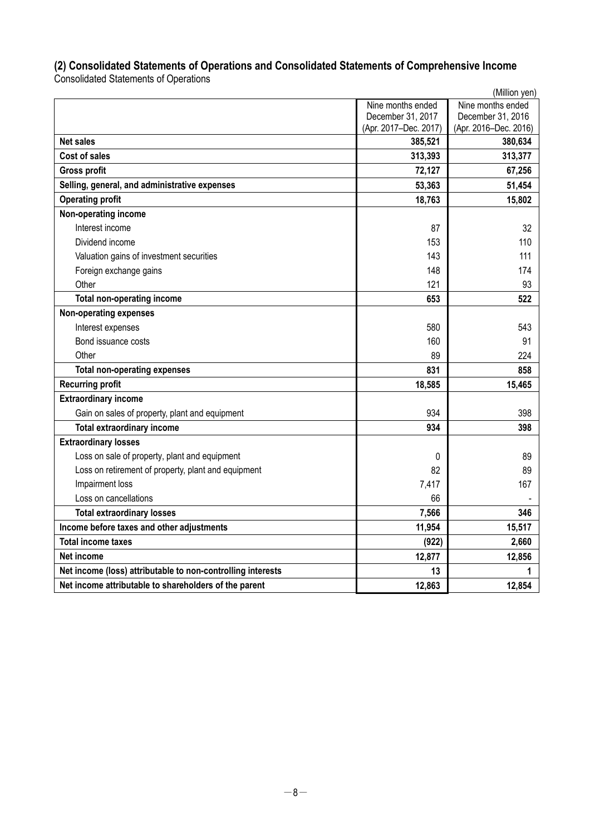# **(2) Consolidated Statements of Operations and Consolidated Statements of Comprehensive Income**

Consolidated Statements of Operations

|                                                             |                       | (Million yen)         |
|-------------------------------------------------------------|-----------------------|-----------------------|
|                                                             | Nine months ended     | Nine months ended     |
|                                                             | December 31, 2017     | December 31, 2016     |
|                                                             | (Apr. 2017-Dec. 2017) | (Apr. 2016-Dec. 2016) |
| <b>Net sales</b>                                            | 385,521               | 380,634               |
| <b>Cost of sales</b>                                        | 313,393               | 313,377               |
| <b>Gross profit</b>                                         | 72,127                | 67,256                |
| Selling, general, and administrative expenses               | 53,363                | 51,454                |
| <b>Operating profit</b>                                     | 18,763                | 15,802                |
| Non-operating income                                        |                       |                       |
| Interest income                                             | 87                    | 32                    |
| Dividend income                                             | 153                   | 110                   |
| Valuation gains of investment securities                    | 143                   | 111                   |
| Foreign exchange gains                                      | 148                   | 174                   |
| Other                                                       | 121                   | 93                    |
| <b>Total non-operating income</b>                           | 653                   | 522                   |
| Non-operating expenses                                      |                       |                       |
| Interest expenses                                           | 580                   | 543                   |
| Bond issuance costs                                         | 160                   | 91                    |
| Other                                                       | 89                    | 224                   |
| <b>Total non-operating expenses</b>                         | 831                   | 858                   |
| <b>Recurring profit</b>                                     | 18,585                | 15,465                |
| <b>Extraordinary income</b>                                 |                       |                       |
| Gain on sales of property, plant and equipment              | 934                   | 398                   |
| <b>Total extraordinary income</b>                           | 934                   | 398                   |
| <b>Extraordinary losses</b>                                 |                       |                       |
| Loss on sale of property, plant and equipment               | 0                     | 89                    |
| Loss on retirement of property, plant and equipment         | 82                    | 89                    |
| Impairment loss                                             | 7,417                 | 167                   |
| Loss on cancellations                                       | 66                    |                       |
| <b>Total extraordinary losses</b>                           | 7,566                 | 346                   |
| Income before taxes and other adjustments                   | 11,954                | 15,517                |
| <b>Total income taxes</b>                                   | (922)                 | 2,660                 |
| Net income                                                  | 12,877                | 12,856                |
| Net income (loss) attributable to non-controlling interests | 13                    | 1                     |
| Net income attributable to shareholders of the parent       | 12,863                | 12,854                |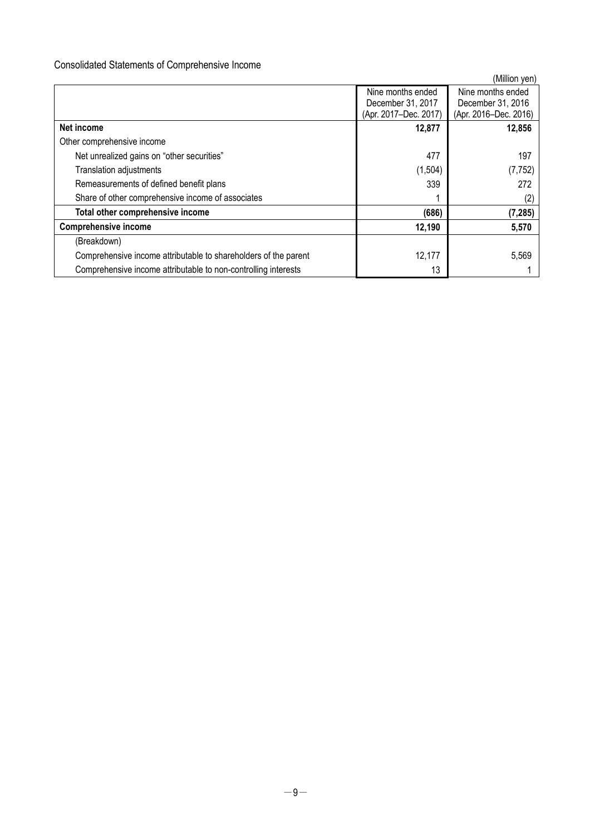# Consolidated Statements of Comprehensive Income

|                                                                 |                       | (Million yen)         |
|-----------------------------------------------------------------|-----------------------|-----------------------|
|                                                                 | Nine months ended     | Nine months ended     |
|                                                                 | December 31, 2017     | December 31, 2016     |
|                                                                 | (Apr. 2017-Dec. 2017) | (Apr. 2016-Dec. 2016) |
| Net income                                                      | 12,877                | 12,856                |
| Other comprehensive income                                      |                       |                       |
| Net unrealized gains on "other securities"                      | 477                   | 197                   |
| <b>Translation adjustments</b>                                  | (1,504)               | (7, 752)              |
| Remeasurements of defined benefit plans                         | 339                   | 272                   |
| Share of other comprehensive income of associates               |                       | (2)                   |
| Total other comprehensive income                                | (686)                 | (7, 285)              |
| <b>Comprehensive income</b>                                     | 12,190                | 5,570                 |
| (Breakdown)                                                     |                       |                       |
| Comprehensive income attributable to shareholders of the parent | 12,177                | 5,569                 |
| Comprehensive income attributable to non-controlling interests  | 13                    |                       |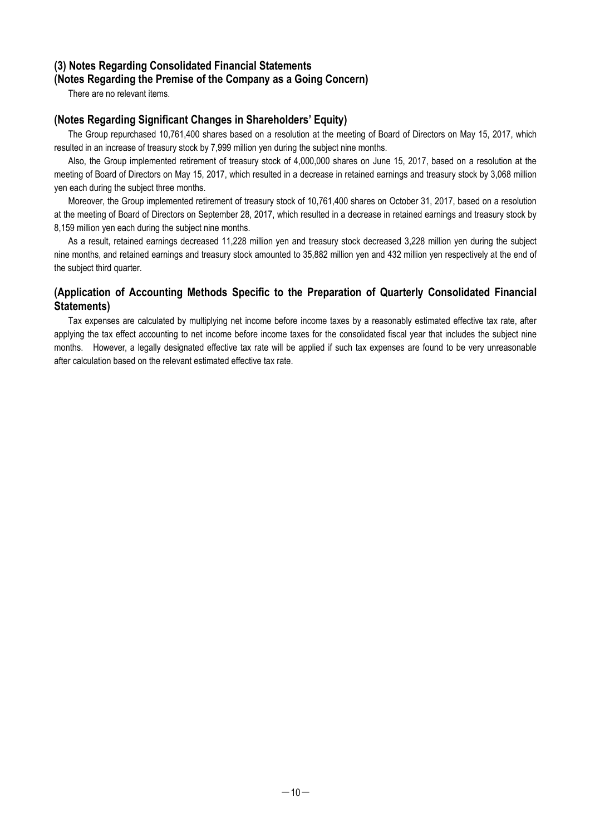# **(3) Notes Regarding Consolidated Financial Statements (Notes Regarding the Premise of the Company as a Going Concern)**

There are no relevant items.

# **(Notes Regarding Significant Changes in Shareholders' Equity)**

The Group repurchased 10,761,400 shares based on a resolution at the meeting of Board of Directors on May 15, 2017, which resulted in an increase of treasury stock by 7,999 million yen during the subject nine months.

Also, the Group implemented retirement of treasury stock of 4,000,000 shares on June 15, 2017, based on a resolution at the meeting of Board of Directors on May 15, 2017, which resulted in a decrease in retained earnings and treasury stock by 3,068 million yen each during the subject three months.

Moreover, the Group implemented retirement of treasury stock of 10,761,400 shares on October 31, 2017, based on a resolution at the meeting of Board of Directors on September 28, 2017, which resulted in a decrease in retained earnings and treasury stock by 8,159 million yen each during the subject nine months.

As a result, retained earnings decreased 11,228 million yen and treasury stock decreased 3,228 million yen during the subject nine months, and retained earnings and treasury stock amounted to 35,882 million yen and 432 million yen respectively at the end of the subject third quarter.

# **(Application of Accounting Methods Specific to the Preparation of Quarterly Consolidated Financial Statements)**

Tax expenses are calculated by multiplying net income before income taxes by a reasonably estimated effective tax rate, after applying the tax effect accounting to net income before income taxes for the consolidated fiscal year that includes the subject nine months. However, a legally designated effective tax rate will be applied if such tax expenses are found to be very unreasonable after calculation based on the relevant estimated effective tax rate.